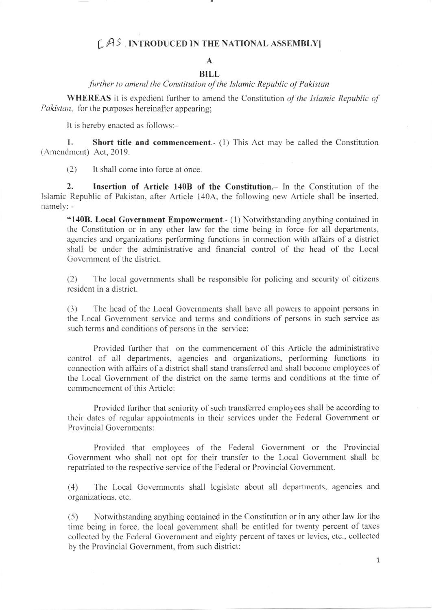## $L$  $A$ <sup>S</sup>. INTRODUCED IN THE NATIONAL ASSEMBLY

## A

## BILL further to amend the Constitution of the Islamic Republic of Pakistan

WHEREAS it is expedient further to amend the Constitution of the Islamic Republic of Pakistan, for the purposes hereinafter appearing;

It is hereby enacted as follows:-

1. Short title and commencement. (1) This Act may be called the Constitution  $(Amendment)$  Act, 2019.

(2) It shall come into force at once

2. Insertion of Article 140B of the Constitution.- In the Constitution of the lslamic Republic of Pakistan, after Article 140A. the following new Article shall be insertcd. namely: -

"140B. Local Government Empowerment.- (1) Notwithstanding anything contained in the Constitution or in any other law for the time being in force for all departments, agencies and organizations performing functions in connection with affairs of a district shall be under the administrative and financial control of the head of the Local Government of the district.

 $(2)$  The local governments shall be responsible for policing and security of citizens resident in a district.

(3) The head of the Local Governments shall have all powers to appoint persons in the Local Government service and terms and conditions of persons in such service as such terms and conditions of persons in the service:

Provided further that on the commencement of this Article the administrative control of all departments, agencies and organizations, performing functions in connection with affairs of a district shall stand transferred and shall become employees of the Local Government of the district on the same terms and conditions at the time of commencement of this Article:

Provided further that seniority of such transferred employees shall be according to their dates of regular appointments in their services under the Federal Government or Provincial Governments:

Provided that employees of the Federal Government or the Provincial Government who shall not opt for their transfer to the Local Government shall be repatriated to the respective service of the Federal or Provincial Government.

(4) The Local Governments shall legislate about all departments, agencies and organizations, etc.

(5) Notwithstanding anything contained in the Constitution or in any other law for the time being in force, the local government shall be entitled for twenty percent of taxes collected by the Federal Government and eighty percent of taxes or levies, ctc., collected by the Provincial Government, from such district:

1